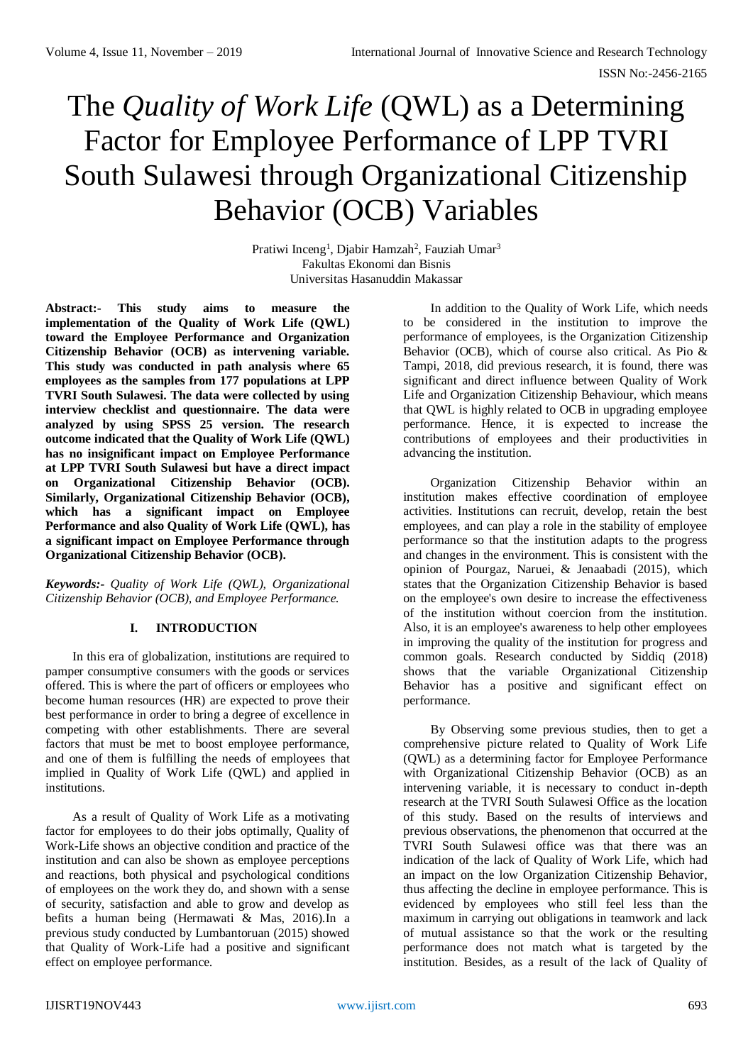# The *Quality of Work Life* (QWL) as a Determining Factor for Employee Performance of LPP TVRI South Sulawesi through Organizational Citizenship Behavior (OCB) Variables

Pratiwi Inceng<sup>1</sup>, Djabir Hamzah<sup>2</sup>, Fauziah Umar<sup>3</sup> Fakultas Ekonomi dan Bisnis Universitas Hasanuddin Makassar

**Abstract:- This study aims to measure the implementation of the Quality of Work Life (QWL) toward the Employee Performance and Organization Citizenship Behavior (OCB) as intervening variable. This study was conducted in path analysis where 65 employees as the samples from 177 populations at LPP TVRI South Sulawesi. The data were collected by using interview checklist and questionnaire. The data were analyzed by using SPSS 25 version. The research outcome indicated that the Quality of Work Life (QWL) has no insignificant impact on Employee Performance at LPP TVRI South Sulawesi but have a direct impact on Organizational Citizenship Behavior (OCB). Similarly, Organizational Citizenship Behavior (OCB), which has a significant impact on Employee Performance and also Quality of Work Life (QWL), has a significant impact on Employee Performance through Organizational Citizenship Behavior (OCB).**

*Keywords:- Quality of Work Life (QWL), Organizational Citizenship Behavior (OCB), and Employee Performance.*

# **I. INTRODUCTION**

In this era of globalization, institutions are required to pamper consumptive consumers with the goods or services offered. This is where the part of officers or employees who become human resources (HR) are expected to prove their best performance in order to bring a degree of excellence in competing with other establishments. There are several factors that must be met to boost employee performance, and one of them is fulfilling the needs of employees that implied in Quality of Work Life (QWL) and applied in institutions.

As a result of Quality of Work Life as a motivating factor for employees to do their jobs optimally, Quality of Work-Life shows an objective condition and practice of the institution and can also be shown as employee perceptions and reactions, both physical and psychological conditions of employees on the work they do, and shown with a sense of security, satisfaction and able to grow and develop as befits a human being (Hermawati & Mas, 2016).In a previous study conducted by Lumbantoruan (2015) showed that Quality of Work-Life had a positive and significant effect on employee performance.

In addition to the Quality of Work Life, which needs to be considered in the institution to improve the performance of employees, is the Organization Citizenship Behavior (OCB), which of course also critical. As Pio & Tampi, 2018, did previous research, it is found, there was significant and direct influence between Quality of Work Life and Organization Citizenship Behaviour, which means that QWL is highly related to OCB in upgrading employee performance. Hence, it is expected to increase the contributions of employees and their productivities in advancing the institution.

Organization Citizenship Behavior within an institution makes effective coordination of employee activities. Institutions can recruit, develop, retain the best employees, and can play a role in the stability of employee performance so that the institution adapts to the progress and changes in the environment. This is consistent with the opinion of Pourgaz, Naruei, & Jenaabadi (2015), which states that the Organization Citizenship Behavior is based on the employee's own desire to increase the effectiveness of the institution without coercion from the institution. Also, it is an employee's awareness to help other employees in improving the quality of the institution for progress and common goals. Research conducted by Siddiq (2018) shows that the variable Organizational Citizenship Behavior has a positive and significant effect on performance.

By Observing some previous studies, then to get a comprehensive picture related to Quality of Work Life (QWL) as a determining factor for Employee Performance with Organizational Citizenship Behavior (OCB) as an intervening variable, it is necessary to conduct in-depth research at the TVRI South Sulawesi Office as the location of this study. Based on the results of interviews and previous observations, the phenomenon that occurred at the TVRI South Sulawesi office was that there was an indication of the lack of Quality of Work Life, which had an impact on the low Organization Citizenship Behavior, thus affecting the decline in employee performance. This is evidenced by employees who still feel less than the maximum in carrying out obligations in teamwork and lack of mutual assistance so that the work or the resulting performance does not match what is targeted by the institution. Besides, as a result of the lack of Quality of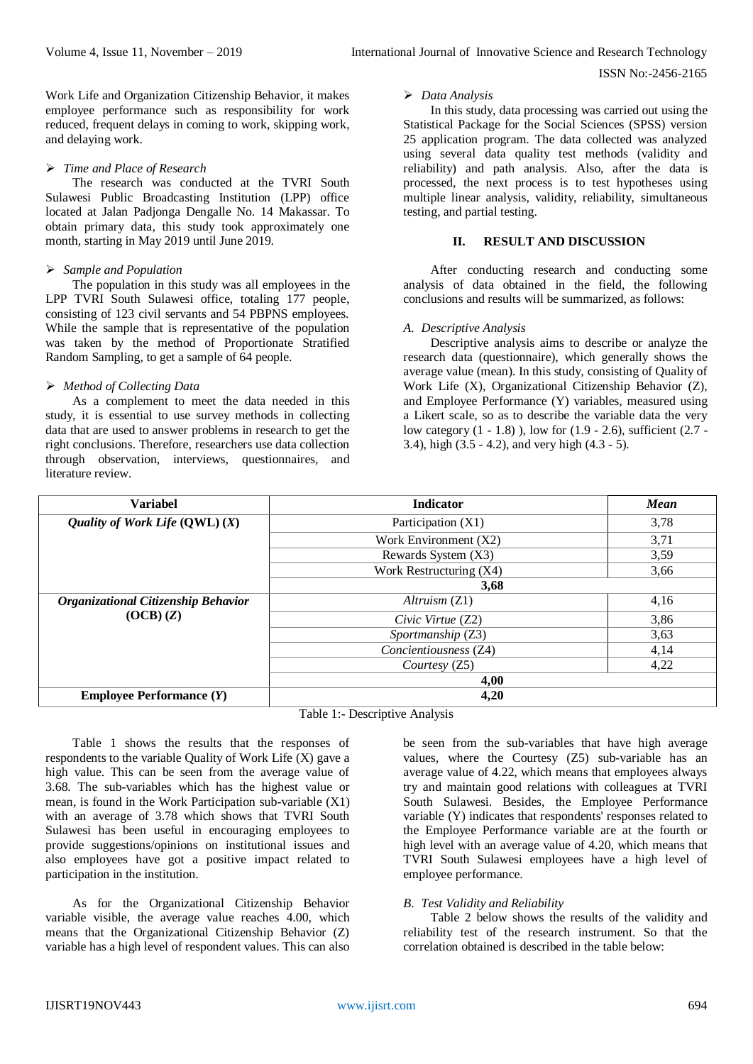ISSN No:-2456-2165

Work Life and Organization Citizenship Behavior, it makes employee performance such as responsibility for work reduced, frequent delays in coming to work, skipping work, and delaying work.

#### *Time and Place of Research*

The research was conducted at the TVRI South Sulawesi Public Broadcasting Institution (LPP) office located at Jalan Padjonga Dengalle No. 14 Makassar. To obtain primary data, this study took approximately one month, starting in May 2019 until June 2019.

## *Sample and Population*

The population in this study was all employees in the LPP TVRI South Sulawesi office, totaling 177 people, consisting of 123 civil servants and 54 PBPNS employees. While the sample that is representative of the population was taken by the method of Proportionate Stratified Random Sampling, to get a sample of 64 people.

#### *Method of Collecting Data*

As a complement to meet the data needed in this study, it is essential to use survey methods in collecting data that are used to answer problems in research to get the right conclusions. Therefore, researchers use data collection through observation, interviews, questionnaires, and literature review

#### *Data Analysis*

In this study, data processing was carried out using the Statistical Package for the Social Sciences (SPSS) version 25 application program. The data collected was analyzed using several data quality test methods (validity and reliability) and path analysis. Also, after the data is processed, the next process is to test hypotheses using multiple linear analysis, validity, reliability, simultaneous testing, and partial testing.

## **II. RESULT AND DISCUSSION**

After conducting research and conducting some analysis of data obtained in the field, the following conclusions and results will be summarized, as follows:

## *A. Descriptive Analysis*

Descriptive analysis aims to describe or analyze the research data (questionnaire), which generally shows the average value (mean). In this study, consisting of Quality of Work Life (X), Organizational Citizenship Behavior (Z), and Employee Performance (Y) variables, measured using a Likert scale, so as to describe the variable data the very low category (1 - 1.8) ), low for (1.9 - 2.6), sufficient (2.7 - 3.4), high (3.5 - 4.2), and very high (4.3 - 5).

| <b>Variabel</b>                                  | <b>Indicator</b>        | <b>Mean</b> |  |
|--------------------------------------------------|-------------------------|-------------|--|
| Quality of Work Life $(QWL)$ $(X)$               | Participation (X1)      | 3,78        |  |
|                                                  | Work Environment (X2)   | 3,71        |  |
|                                                  | Rewards System (X3)     | 3,59        |  |
|                                                  | Work Restructuring (X4) | 3,66        |  |
|                                                  | 3,68                    |             |  |
| Organizational Citizenship Behavior<br>(OCB) (Z) | Altruism(Z1)            | 4,16        |  |
|                                                  | Civic Virtue (Z2)       | 3,86        |  |
|                                                  | Sportmanship (Z3)       | 3,63        |  |
|                                                  | Concientiousness (Z4)   | 4,14        |  |
|                                                  | Courtesy (Z5)           | 4,22        |  |
|                                                  | 4,00                    |             |  |
| <b>Employee Performance (Y)</b>                  | 4,20                    |             |  |

Table 1:- Descriptive Analysis

Table 1 shows the results that the responses of respondents to the variable Quality of Work Life  $(X)$  gave a high value. This can be seen from the average value of 3.68. The sub-variables which has the highest value or mean, is found in the Work Participation sub-variable (X1) with an average of 3.78 which shows that TVRI South Sulawesi has been useful in encouraging employees to provide suggestions/opinions on institutional issues and also employees have got a positive impact related to participation in the institution.

As for the Organizational Citizenship Behavior variable visible, the average value reaches 4.00, which means that the Organizational Citizenship Behavior (Z) variable has a high level of respondent values. This can also be seen from the sub-variables that have high average values, where the Courtesy (Z5) sub-variable has an average value of 4.22, which means that employees always try and maintain good relations with colleagues at TVRI South Sulawesi. Besides, the Employee Performance variable (Y) indicates that respondents' responses related to the Employee Performance variable are at the fourth or high level with an average value of 4.20, which means that TVRI South Sulawesi employees have a high level of employee performance.

## *B. Test Validity and Reliability*

Table 2 below shows the results of the validity and reliability test of the research instrument. So that the correlation obtained is described in the table below: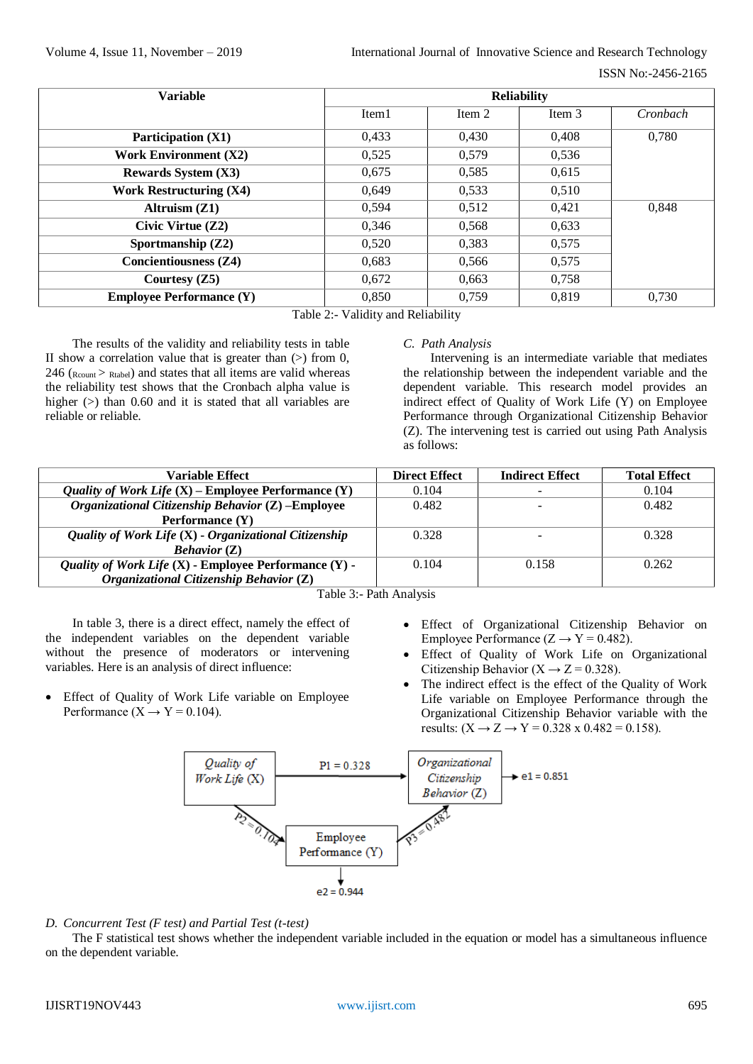| <b>Variable</b>                 | <b>Reliability</b> |        |        |          |  |
|---------------------------------|--------------------|--------|--------|----------|--|
|                                 | Item1              | Item 2 | Item 3 | Cronbach |  |
| <b>Participation (X1)</b>       | 0.433              | 0.430  | 0,408  | 0.780    |  |
| <b>Work Environment (X2)</b>    | 0,525              | 0,579  | 0,536  |          |  |
| <b>Rewards System (X3)</b>      | 0.675              | 0.585  | 0.615  |          |  |
| <b>Work Restructuring (X4)</b>  | 0.649              | 0,533  | 0,510  |          |  |
| Altruism $(Z1)$                 | 0.594              | 0,512  | 0.421  | 0.848    |  |
| Civic Virtue $(Z2)$             | 0.346              | 0,568  | 0,633  |          |  |
| Sportmanship $(Z2)$             | 0.520              | 0,383  | 0,575  |          |  |
| <b>Concientiousness (Z4)</b>    | 0.683              | 0,566  | 0,575  |          |  |
| Courtesy $(Z5)$                 | 0.672              | 0,663  | 0,758  |          |  |
| <b>Employee Performance (Y)</b> | 0,850              | 0,759  | 0,819  | 0,730    |  |

Table 2:- Validity and Reliability

The results of the validity and reliability tests in table II show a correlation value that is greater than  $(>)$  from 0,  $246$  ( $_{\text{Rcount}}$  >  $_{\text{Rtable}}$ ) and states that all items are valid whereas the reliability test shows that the Cronbach alpha value is higher (>) than 0.60 and it is stated that all variables are reliable or reliable.

#### *C. Path Analysis*

Intervening is an intermediate variable that mediates the relationship between the independent variable and the dependent variable. This research model provides an indirect effect of Quality of Work Life (Y) on Employee Performance through Organizational Citizenship Behavior (Z). The intervening test is carried out using Path Analysis as follows:

| Variable Effect                                                | <b>Direct Effect</b> | <b>Indirect Effect</b> | <b>Total Effect</b> |
|----------------------------------------------------------------|----------------------|------------------------|---------------------|
| <i>Quality of Work Life</i> $(X)$ – Employee Performance $(Y)$ | 0.104                |                        | 0.104               |
| Organizational Citizenship Behavior (Z) - Employee             | 0.482                | -                      | 0.482               |
| Performance (Y)                                                |                      |                        |                     |
| Quality of Work Life (X) - Organizational Citizenship          | 0.328                |                        | 0.328               |
| Behavior (Z)                                                   |                      |                        |                     |
| Quality of Work Life (X) - Employee Performance (Y) -          | 0.104                | 0.158                  | 0.262               |
| Organizational Citizenship Behavior (Z)                        |                      |                        |                     |

Table 3:- Path Analysis

In table 3, there is a direct effect, namely the effect of the independent variables on the dependent variable without the presence of moderators or intervening variables. Here is an analysis of direct influence:

- Effect of Quality of Work Life variable on Employee Performance  $(X \rightarrow Y = 0.104)$ .
- Effect of Organizational Citizenship Behavior on Employee Performance  $(Z \rightarrow Y = 0.482)$ .
- Effect of Quality of Work Life on Organizational Citizenship Behavior ( $X \rightarrow Z = 0.328$ ).
- The indirect effect is the effect of the Quality of Work Life variable on Employee Performance through the Organizational Citizenship Behavior variable with the results:  $(X \to Z \to Y = 0.328 \times 0.482 = 0.158)$ .



# *D. Concurrent Test (F test) and Partial Test (t-test)*

The F statistical test shows whether the independent variable included in the equation or model has a simultaneous influence on the dependent variable.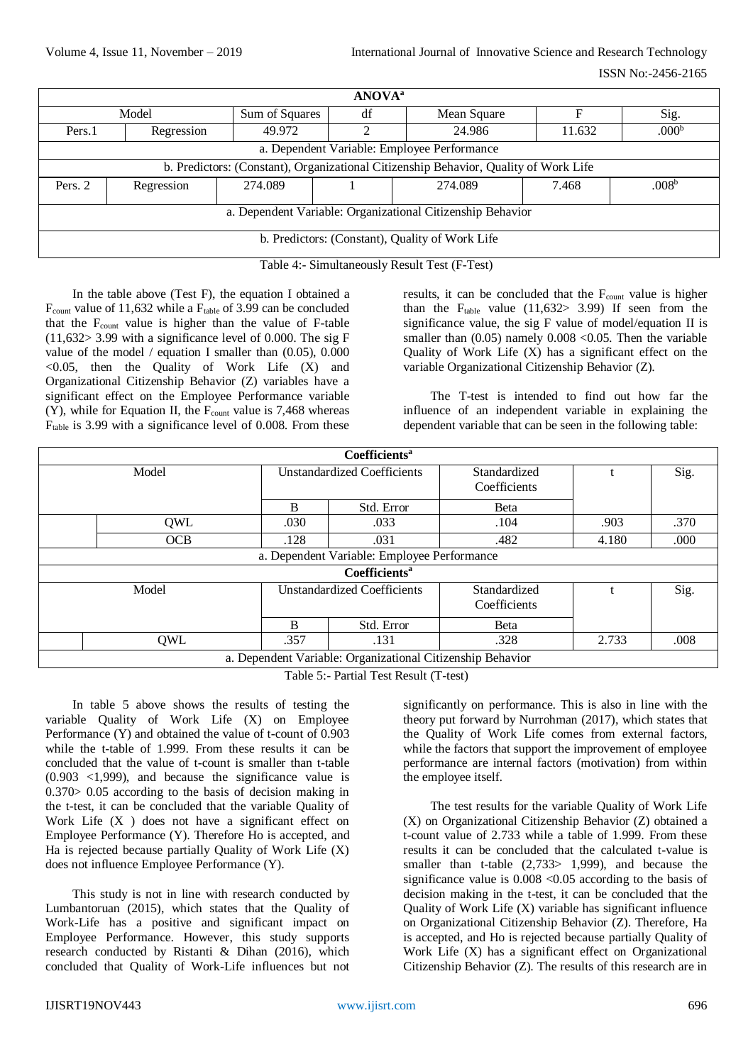ISSN No:-2456-2165

| ANOVA <sup>a</sup>                                                                   |            |                |                |                                             |        |                   |  |
|--------------------------------------------------------------------------------------|------------|----------------|----------------|---------------------------------------------|--------|-------------------|--|
| Model                                                                                |            | Sum of Squares | df             | Mean Square                                 | F      | Sig.              |  |
| Pers.1                                                                               | Regression | 49.972         | $\mathfrak{D}$ | 24.986                                      | 11.632 | .000 <sup>b</sup> |  |
|                                                                                      |            |                |                | a. Dependent Variable: Employee Performance |        |                   |  |
| b. Predictors: (Constant), Organizational Citizenship Behavior, Quality of Work Life |            |                |                |                                             |        |                   |  |
| Pers. 2                                                                              | Regression | 274.089        |                | 274.089                                     | 7.468  | .008 <sup>b</sup> |  |
| a. Dependent Variable: Organizational Citizenship Behavior                           |            |                |                |                                             |        |                   |  |
| b. Predictors: (Constant), Quality of Work Life                                      |            |                |                |                                             |        |                   |  |

Table 4:- Simultaneously Result Test (F-Test)

In the table above (Test F), the equation I obtained a  $F_{\text{count}}$  value of 11,632 while a  $F_{\text{table}}$  of 3.99 can be concluded that the F<sub>count</sub> value is higher than the value of F-table  $(11,632)$  3.99 with a significance level of 0.000. The sig F value of the model / equation I smaller than (0.05), 0.000  $< 0.05$ , then the Quality of Work Life  $(X)$  and Organizational Citizenship Behavior (Z) variables have a significant effect on the Employee Performance variable (Y), while for Equation II, the  $F_{\text{count}}$  value is 7,468 whereas  $F_{table}$  is 3.99 with a significance level of 0.008. From these results, it can be concluded that the  $F_{\text{count}}$  value is higher than the  $F_{table}$  value (11,632> 3.99) If seen from the significance value, the sig F value of model/equation II is smaller than  $(0.05)$  namely  $0.008 < 0.05$ . Then the variable Quality of Work Life (X) has a significant effect on the variable Organizational Citizenship Behavior (Z).

The T-test is intended to find out how far the influence of an independent variable in explaining the dependent variable that can be seen in the following table:

| <b>Coefficients<sup>a</sup></b>                            |                                             |                                    |                              |                              |       |      |
|------------------------------------------------------------|---------------------------------------------|------------------------------------|------------------------------|------------------------------|-------|------|
| Model                                                      |                                             | <b>Unstandardized Coefficients</b> |                              | Standardized<br>Coefficients |       | Sig. |
|                                                            |                                             | B                                  | Std. Error                   | Beta                         |       |      |
|                                                            | <b>OWL</b>                                  | .030                               | .033                         | .104                         | .903  | .370 |
|                                                            | <b>OCB</b>                                  | .128                               | .031                         | .482                         | 4.180 | .000 |
| a. Dependent Variable: Employee Performance                |                                             |                                    |                              |                              |       |      |
| <b>Coefficients<sup>a</sup></b>                            |                                             |                                    |                              |                              |       |      |
|                                                            | <b>Unstandardized Coefficients</b><br>Model |                                    | Standardized<br>Coefficients |                              | Sig.  |      |
|                                                            |                                             | B                                  | Std. Error                   | Beta                         |       |      |
|                                                            | QWL                                         | .357                               | .131                         | .328                         | 2.733 | .008 |
| a. Dependent Variable: Organizational Citizenship Behavior |                                             |                                    |                              |                              |       |      |

Table 5:- Partial Test Result (T-test)

In table 5 above shows the results of testing the variable Quality of Work Life (X) on Employee Performance (Y) and obtained the value of t-count of 0.903 while the t-table of 1.999. From these results it can be concluded that the value of t-count is smaller than t-table (0.903 <1,999), and because the significance value is 0.370> 0.05 according to the basis of decision making in the t-test, it can be concluded that the variable Quality of Work Life  $(X)$  does not have a significant effect on Employee Performance (Y). Therefore Ho is accepted, and Ha is rejected because partially Quality of Work Life (X) does not influence Employee Performance (Y).

This study is not in line with research conducted by Lumbantoruan (2015), which states that the Quality of Work-Life has a positive and significant impact on Employee Performance. However, this study supports research conducted by Ristanti & Dihan (2016), which concluded that Quality of Work-Life influences but not significantly on performance. This is also in line with the theory put forward by Nurrohman (2017), which states that the Quality of Work Life comes from external factors, while the factors that support the improvement of employee performance are internal factors (motivation) from within the employee itself.

The test results for the variable Quality of Work Life (X) on Organizational Citizenship Behavior (Z) obtained a t-count value of 2.733 while a table of 1.999. From these results it can be concluded that the calculated t-value is smaller than t-table (2,733> 1,999), and because the significance value is  $0.008 \le 0.05$  according to the basis of decision making in the t-test, it can be concluded that the Quality of Work Life  $(X)$  variable has significant influence on Organizational Citizenship Behavior (Z). Therefore, Ha is accepted, and Ho is rejected because partially Quality of Work Life (X) has a significant effect on Organizational Citizenship Behavior (Z). The results of this research are in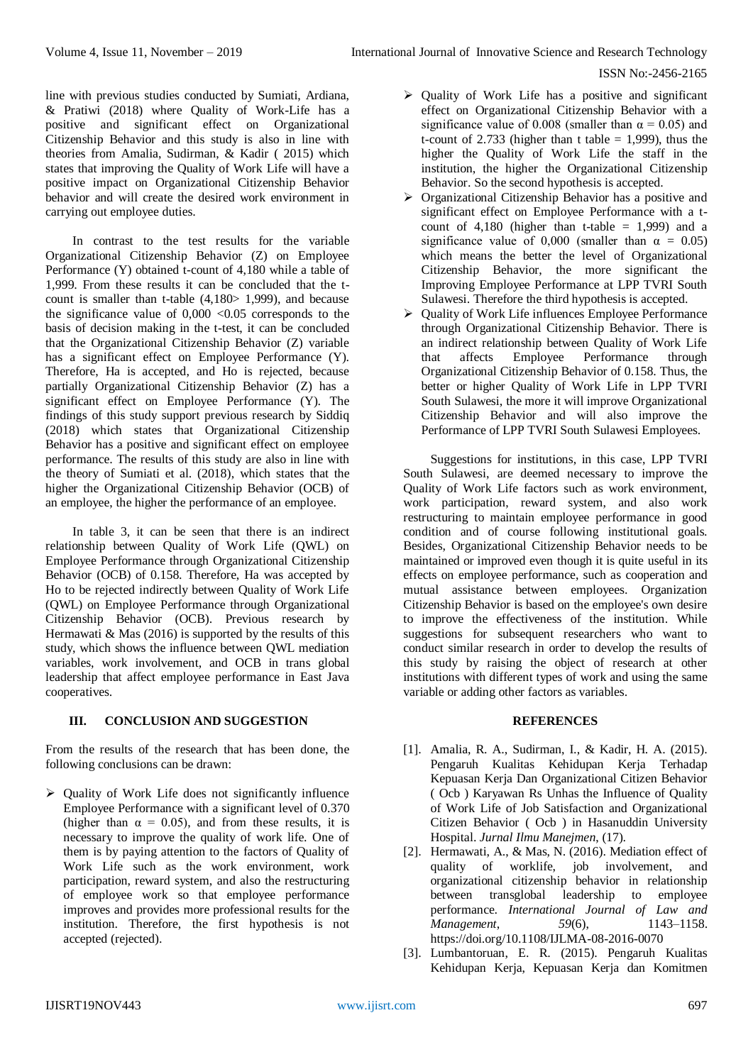line with previous studies conducted by Sumiati, Ardiana, & Pratiwi (2018) where Quality of Work-Life has a positive and significant effect on Organizational Citizenship Behavior and this study is also in line with theories from Amalia, Sudirman, & Kadir ( 2015) which states that improving the Quality of Work Life will have a positive impact on Organizational Citizenship Behavior behavior and will create the desired work environment in carrying out employee duties.

In contrast to the test results for the variable Organizational Citizenship Behavior (Z) on Employee Performance (Y) obtained t-count of 4,180 while a table of 1,999. From these results it can be concluded that the tcount is smaller than t-table  $(4.180 > 1.999)$ , and because the significance value of  $0,000 < 0.05$  corresponds to the basis of decision making in the t-test, it can be concluded that the Organizational Citizenship Behavior (Z) variable has a significant effect on Employee Performance (Y). Therefore, Ha is accepted, and Ho is rejected, because partially Organizational Citizenship Behavior (Z) has a significant effect on Employee Performance (Y). The findings of this study support previous research by Siddiq (2018) which states that Organizational Citizenship Behavior has a positive and significant effect on employee performance. The results of this study are also in line with the theory of Sumiati et al. (2018), which states that the higher the Organizational Citizenship Behavior (OCB) of an employee, the higher the performance of an employee.

In table 3, it can be seen that there is an indirect relationship between Quality of Work Life (QWL) on Employee Performance through Organizational Citizenship Behavior (OCB) of 0.158. Therefore, Ha was accepted by Ho to be rejected indirectly between Quality of Work Life (QWL) on Employee Performance through Organizational Citizenship Behavior (OCB). Previous research by Hermawati & Mas (2016) is supported by the results of this study, which shows the influence between QWL mediation variables, work involvement, and OCB in trans global leadership that affect employee performance in East Java cooperatives.

## **III. CONCLUSION AND SUGGESTION**

From the results of the research that has been done, the following conclusions can be drawn:

 $\triangleright$  Quality of Work Life does not significantly influence Employee Performance with a significant level of 0.370 (higher than  $\alpha = 0.05$ ), and from these results, it is necessary to improve the quality of work life. One of them is by paying attention to the factors of Quality of Work Life such as the work environment, work participation, reward system, and also the restructuring of employee work so that employee performance improves and provides more professional results for the institution. Therefore, the first hypothesis is not accepted (rejected).

- $\triangleright$  Ouality of Work Life has a positive and significant effect on Organizational Citizenship Behavior with a significance value of 0.008 (smaller than  $\alpha = 0.05$ ) and t-count of 2.733 (higher than t table  $= 1.999$ ), thus the higher the Quality of Work Life the staff in the institution, the higher the Organizational Citizenship Behavior. So the second hypothesis is accepted.
- Organizational Citizenship Behavior has a positive and significant effect on Employee Performance with a tcount of  $4,180$  (higher than t-table = 1,999) and a significance value of 0,000 (smaller than  $\alpha = 0.05$ ) which means the better the level of Organizational Citizenship Behavior, the more significant the Improving Employee Performance at LPP TVRI South Sulawesi. Therefore the third hypothesis is accepted.
- Quality of Work Life influences Employee Performance through Organizational Citizenship Behavior. There is an indirect relationship between Quality of Work Life that affects Employee Performance through Organizational Citizenship Behavior of 0.158. Thus, the better or higher Quality of Work Life in LPP TVRI South Sulawesi, the more it will improve Organizational Citizenship Behavior and will also improve the Performance of LPP TVRI South Sulawesi Employees.

Suggestions for institutions, in this case, LPP TVRI South Sulawesi, are deemed necessary to improve the Quality of Work Life factors such as work environment, work participation, reward system, and also work restructuring to maintain employee performance in good condition and of course following institutional goals. Besides, Organizational Citizenship Behavior needs to be maintained or improved even though it is quite useful in its effects on employee performance, such as cooperation and mutual assistance between employees. Organization Citizenship Behavior is based on the employee's own desire to improve the effectiveness of the institution. While suggestions for subsequent researchers who want to conduct similar research in order to develop the results of this study by raising the object of research at other institutions with different types of work and using the same variable or adding other factors as variables.

## **REFERENCES**

- [1]. Amalia, R. A., Sudirman, I., & Kadir, H. A. (2015). Pengaruh Kualitas Kehidupan Kerja Terhadap Kepuasan Kerja Dan Organizational Citizen Behavior ( Ocb ) Karyawan Rs Unhas the Influence of Quality of Work Life of Job Satisfaction and Organizational Citizen Behavior ( Ocb ) in Hasanuddin University Hospital. *Jurnal Ilmu Manejmen*, (17).
- [2]. Hermawati, A., & Mas, N. (2016). Mediation effect of quality of worklife, job involvement, and organizational citizenship behavior in relationship between transglobal leadership to employee performance. *International Journal of Law and Management*, 59(6), 1143–1158. https://doi.org/10.1108/IJLMA-08-2016-0070
- [3]. Lumbantoruan, E. R. (2015). Pengaruh Kualitas Kehidupan Kerja, Kepuasan Kerja dan Komitmen